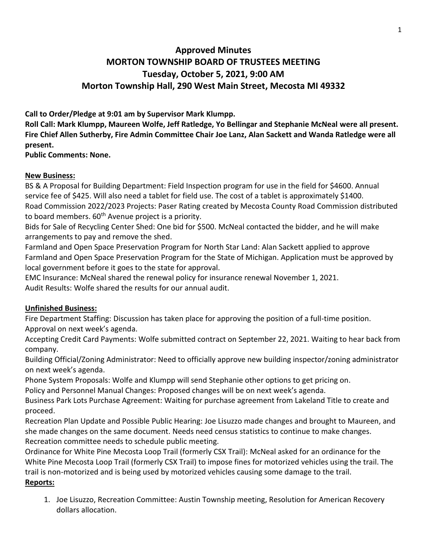## **Approved Minutes MORTON TOWNSHIP BOARD OF TRUSTEES MEETING Tuesday, October 5, 2021, 9:00 AM Morton Township Hall, 290 West Main Street, Mecosta MI 49332**

**Call to Order/Pledge at 9:01 am by Supervisor Mark Klumpp.** 

**Roll Call: Mark Klumpp, Maureen Wolfe, Jeff Ratledge, Yo Bellingar and Stephanie McNeal were all present. Fire Chief Allen Sutherby, Fire Admin Committee Chair Joe Lanz, Alan Sackett and Wanda Ratledge were all present.** 

**Public Comments: None.**

## **New Business:**

BS & A Proposal for Building Department: Field Inspection program for use in the field for \$4600. Annual service fee of \$425. Will also need a tablet for field use. The cost of a tablet is approximately \$1400. Road Commission 2022/2023 Projects: Paser Rating created by Mecosta County Road Commission distributed to board members. 60<sup>th</sup> Avenue project is a priority.

Bids for Sale of Recycling Center Shed: One bid for \$500. McNeal contacted the bidder, and he will make arrangements to pay and remove the shed.

Farmland and Open Space Preservation Program for North Star Land: Alan Sackett applied to approve Farmland and Open Space Preservation Program for the State of Michigan. Application must be approved by local government before it goes to the state for approval.

EMC Insurance: McNeal shared the renewal policy for insurance renewal November 1, 2021. Audit Results: Wolfe shared the results for our annual audit.

## **Unfinished Business:**

Fire Department Staffing: Discussion has taken place for approving the position of a full-time position. Approval on next week's agenda.

Accepting Credit Card Payments: Wolfe submitted contract on September 22, 2021. Waiting to hear back from company.

Building Official/Zoning Administrator: Need to officially approve new building inspector/zoning administrator on next week's agenda.

Phone System Proposals: Wolfe and Klumpp will send Stephanie other options to get pricing on.

Policy and Personnel Manual Changes: Proposed changes will be on next week's agenda.

Business Park Lots Purchase Agreement: Waiting for purchase agreement from Lakeland Title to create and proceed.

Recreation Plan Update and Possible Public Hearing: Joe Lisuzzo made changes and brought to Maureen, and she made changes on the same document. Needs need census statistics to continue to make changes. Recreation committee needs to schedule public meeting.

Ordinance for White Pine Mecosta Loop Trail (formerly CSX Trail): McNeal asked for an ordinance for the White Pine Mecosta Loop Trail (formerly CSX Trail) to impose fines for motorized vehicles using the trail. The trail is non-motorized and is being used by motorized vehicles causing some damage to the trail. **Reports:**

1. Joe Lisuzzo, Recreation Committee: Austin Township meeting, Resolution for American Recovery dollars allocation.